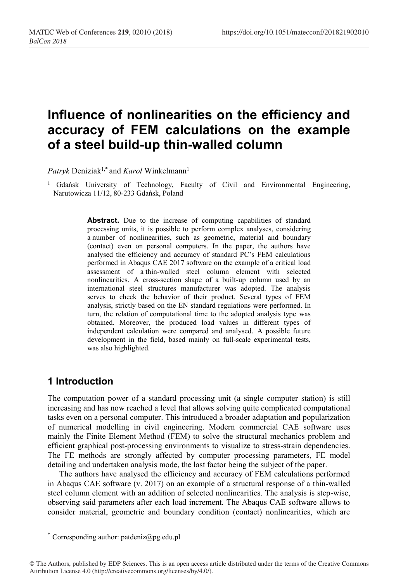# **Influence of nonlinearities on the efficiency and accuracy of FEM calculations on the example of a steel build-up thin-walled column**

Patryk Deniziak<sup>1,\*</sup> and *Karol* Winkelmann<sup>1</sup>

<sup>1</sup> Gdańsk University of Technology, Faculty of Civil and Environmental Engineering, Narutowicza 11/12, 80-233 Gdańsk, Poland

> Abstract. Due to the increase of computing capabilities of standard processing units, it is possible to perform complex analyses, considering a number of nonlinearities, such as geometric, material and boundary (contact) even on personal computers. In the paper, the authors have analysed the efficiency and accuracy of standard PC's FEM calculations performed in Abaqus CAE 2017 software on the example of a critical load assessment of a thin-walled steel column element with selected nonlinearities. A cross-section shape of a built-up column used by an international steel structures manufacturer was adopted. The analysis serves to check the behavior of their product. Several types of FEM analysis, strictly based on the EN standard regulations were performed. In turn, the relation of computational time to the adopted analysis type was obtained. Moreover, the produced load values in different types of independent calculation were compared and analysed. A possible future development in the field, based mainly on full-scale experimental tests, was also highlighted.

# **1 Introduction**

The computation power of a standard processing unit (a single computer station) is still increasing and has now reached a level that allows solving quite complicated computational tasks even on a personal computer. This introduced a broader adaptation and popularization of numerical modelling in civil engineering. Modern commercial CAE software uses mainly the Finite Element Method (FEM) to solve the structural mechanics problem and efficient graphical post-processing environments to visualize to stress-strain dependencies. The FE methods are strongly affected by computer processing parameters, FE model detailing and undertaken analysis mode, the last factor being the subject of the paper.

The authors have analysed the efficiency and accuracy of FEM calculations performed in Abaqus CAE software (v. 2017) on an example of a structural response of a thin-walled steel column element with an addition of selected nonlinearities. The analysis is step-wise, observing said parameters after each load increment. The Abaqus CAE software allows to consider material, geometric and boundary condition (contact) nonlinearities, which are

<sup>\*</sup> Corresponding author: patdeniz@pg.edu.pl

<sup>©</sup> The Authors, published by EDP Sciences. This is an open access article distributed under the terms of the Creative Commons Attribution License 4.0 (http://creativecommons.org/licenses/by/4.0/).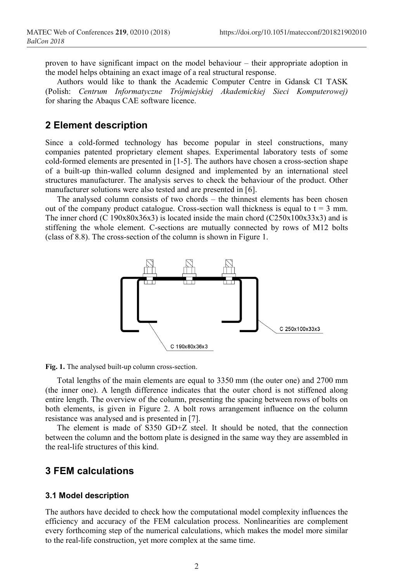proven to have significant impact on the model behaviour – their appropriate adoption in the model helps obtaining an exact image of a real structural response.

Authors would like to thank the Academic Computer Centre in Gdansk CI TASK (Polish: *Centrum Informatyczne Trójmiejskiej Akademickiej Sieci Komputerowej)* for sharing the Abaqus CAE software licence.

# **2 Element description**

Since a cold-formed technology has become popular in steel constructions, many companies patented proprietary element shapes. Experimental laboratory tests of some cold-formed elements are presented in [1-5]. The authors have chosen a cross-section shape of a built-up thin-walled column designed and implemented by an international steel structures manufacturer. The analysis serves to check the behaviour of the product. Other manufacturer solutions were also tested and are presented in [6].

The analysed column consists of two chords – the thinnest elements has been chosen out of the company product catalogue. Cross-section wall thickness is equal to  $t = 3$  mm. The inner chord (C 190x80x36x3) is located inside the main chord (C250x100x33x3) and is stiffening the whole element. C-sections are mutually connected by rows of M12 bolts (class of 8.8). The cross-section of the column is shown in Figure 1.



**Fig. 1.** The analysed built-up column cross-section.

Total lengths of the main elements are equal to 3350 mm (the outer one) and 2700 mm (the inner one). A length difference indicates that the outer chord is not stiffened along entire length. The overview of the column, presenting the spacing between rows of bolts on both elements, is given in Figure 2. A bolt rows arrangement influence on the column resistance was analysed and is presented in [7].

The element is made of S350 GD+Z steel. It should be noted, that the connection between the column and the bottom plate is designed in the same way they are assembled in the real-life structures of this kind.

# **3 FEM calculations**

#### **3.1 Model description**

The authors have decided to check how the computational model complexity influences the efficiency and accuracy of the FEM calculation process. Nonlinearities are complement every forthcoming step of the numerical calculations, which makes the model more similar to the real-life construction, yet more complex at the same time.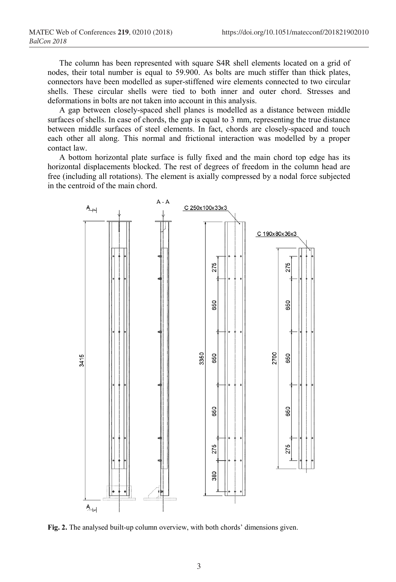The column has been represented with square S4R shell elements located on a grid of nodes, their total number is equal to 59.900. As bolts are much stiffer than thick plates, connectors have been modelled as super-stiffened wire elements connected to two circular shells. These circular shells were tied to both inner and outer chord. Stresses and deformations in bolts are not taken into account in this analysis.

A gap between closely-spaced shell planes is modelled as a distance between middle surfaces of shells. In case of chords, the gap is equal to 3 mm, representing the true distance between middle surfaces of steel elements. In fact, chords are closely-spaced and touch each other all along. This normal and frictional interaction was modelled by a proper contact law.

A bottom horizontal plate surface is fully fixed and the main chord top edge has its horizontal displacements blocked. The rest of degrees of freedom in the column head are free (including all rotations). The element is axially compressed by a nodal force subjected in the centroid of the main chord.



**Fig. 2.** The analysed built-up column overview, with both chords' dimensions given.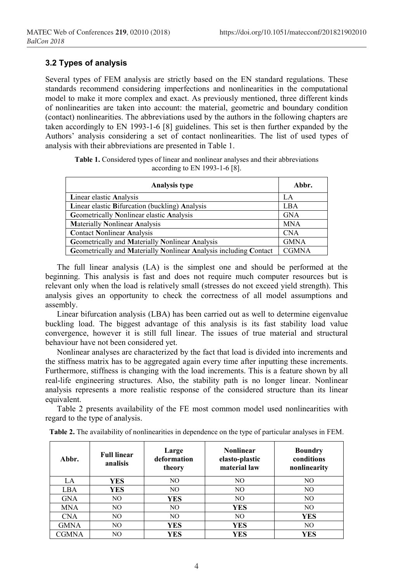## **3.2 Types of analysis**

Several types of FEM analysis are strictly based on the EN standard regulations. These standards recommend considering imperfections and nonlinearities in the computational model to make it more complex and exact. As previously mentioned, three different kinds of nonlinearities are taken into account: the material, geometric and boundary condition (contact) nonlinearities. The abbreviations used by the authors in the following chapters are taken accordingly to EN 1993-1-6 [8] guidelines. This set is then further expanded by the Authors' analysis considering a set of contact nonlinearities. The list of used types of analysis with their abbreviations are presented in Table 1.

**Table 1.** Considered types of linear and nonlinear analyses and their abbreviations according to EN 1993-1-6 [8].

| <b>Analysis type</b>                                              | Abbr.        |
|-------------------------------------------------------------------|--------------|
| Linear elastic Analysis                                           | LA.          |
| Linear elastic Bifurcation (buckling) Analysis                    | <b>LBA</b>   |
| Geometrically Nonlinear elastic Analysis                          | <b>GNA</b>   |
| <b>Materially Nonlinear Analysis</b>                              | <b>MNA</b>   |
| <b>Contact Nonlinear Analysis</b>                                 | <b>CNA</b>   |
| Geometrically and Materially Nonlinear Analysis                   | <b>GMNA</b>  |
| Geometrically and Materially Nonlinear Analysis including Contact | <b>CGMNA</b> |

The full linear analysis (LA) is the simplest one and should be performed at the beginning. This analysis is fast and does not require much computer resources but is relevant only when the load is relatively small (stresses do not exceed yield strength). This analysis gives an opportunity to check the correctness of all model assumptions and assembly.

Linear bifurcation analysis (LBA) has been carried out as well to determine eigenvalue buckling load. The biggest advantage of this analysis is its fast stability load value convergence, however it is still full linear. The issues of true material and structural behaviour have not been considered yet.

Nonlinear analyses are characterized by the fact that load is divided into increments and the stiffness matrix has to be aggregated again every time after inputting these increments. Furthermore, stiffness is changing with the load increments. This is a feature shown by all real-life engineering structures. Also, the stability path is no longer linear. Nonlinear analysis represents a more realistic response of the considered structure than its linear equivalent.

Table 2 presents availability of the FE most common model used nonlinearities with regard to the type of analysis.

| Abbr.      | <b>Full linear</b><br>analisis | Large<br>deformation<br>theory | <b>Nonlinear</b><br>elasto-plastic<br>material law | <b>Boundry</b><br>conditions<br>nonlinearity |
|------------|--------------------------------|--------------------------------|----------------------------------------------------|----------------------------------------------|
| LA         | YES                            | NO.                            | NO                                                 | NO                                           |
| LBA        | YES                            | N <sub>O</sub>                 | N <sub>O</sub>                                     | NO.                                          |
| <b>GNA</b> | NO                             | <b>YES</b>                     | NO                                                 | NO                                           |
| <b>MNA</b> | NO                             | N <sub>O</sub>                 | YES                                                | NO.                                          |
| <b>CNA</b> | NO                             | N <sub>O</sub>                 | NO                                                 | <b>YES</b>                                   |
| GMNA       | NO                             | YES                            | YES                                                | NO.                                          |
| CGMNA      | NO                             | YES                            | YES                                                | YES                                          |

**Table 2.** The availability of nonlinearities in dependence on the type of particular analyses in FEM.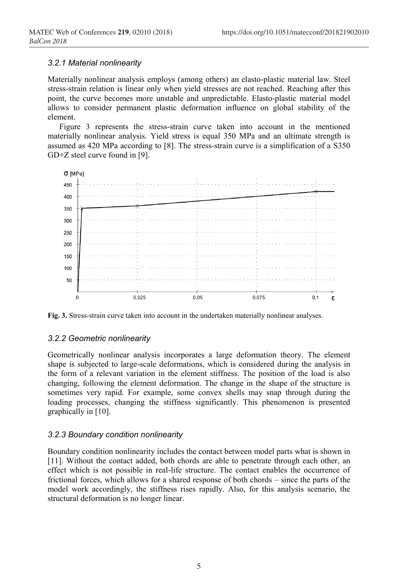#### *3.2.1 Material nonlinearity*

Materially nonlinear analysis employs (among others) an elasto-plastic material law. Steel stress-strain relation is linear only when yield stresses are not reached. Reaching after this point, the curve becomes more unstable and unpredictable. Elasto-plastic material model allows to consider permanent plastic deformation influence on global stability of the element.

Figure 3 represents the stress-strain curve taken into account in the mentioned materially nonlinear analysis. Yield stress is equal 350 MPa and an ultimate strength is assumed as 420 MPa according to [8]. The stress-strain curve is a simplification of a S350 GD+Z steel curve found in [9].



**Fig. 3.** Stress-strain curve taken into account in the undertaken materially nonlinear analyses.

#### *3.2.2 Geometric nonlinearity*

Geometrically nonlinear analysis incorporates a large deformation theory. The element shape is subjected to large-scale deformations, which is considered during the analysis in the form of a relevant variation in the element stiffness. The position of the load is also changing, following the element deformation. The change in the shape of the structure is sometimes very rapid. For example, some convex shells may snap through during the loading processes, changing the stiffness significantly. This phenomenon is presented graphically in [10].

### *3.2.3 Boundary condition nonlinearity*

Boundary condition nonlinearity includes the contact between model parts what is shown in [11]. Without the contact added, both chords are able to penetrate through each other, an effect which is not possible in real-life structure. The contact enables the occurrence of frictional forces, which allows for a shared response of both chords – since the parts of the model work accordingly, the stiffness rises rapidly. Also, for this analysis scenario, the structural deformation is no longer linear.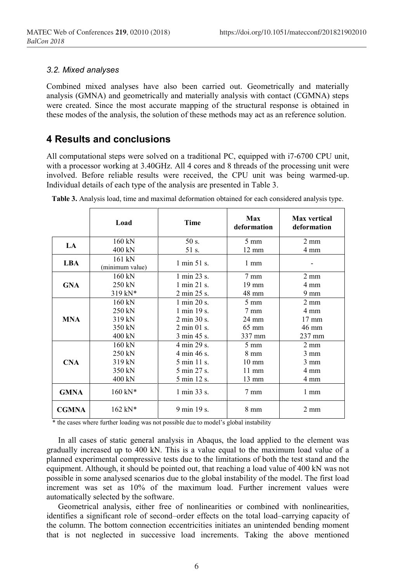### *3.2. Mixed analyses*

Combined mixed analyses have also been carried out. Geometrically and materially analysis (GMNA) and geometrically and materially analysis with contact (CGMNA) steps were created. Since the most accurate mapping of the structural response is obtained in these modes of the analysis, the solution of these methods may act as an reference solution.

# **4 Results and conclusions**

All computational steps were solved on a traditional PC, equipped with i7-6700 CPU unit, with a processor working at 3.40GHz. All 4 cores and 8 threads of the processing unit were involved. Before reliable results were received, the CPU unit was being warmed-up. Individual details of each type of the analysis are presented in Table 3.

|              | Load                      | <b>Time</b>                     | Max<br>deformation | <b>Max</b> vertical<br>deformation |
|--------------|---------------------------|---------------------------------|--------------------|------------------------------------|
| LA           | 160 kN                    | 50 s.                           | 5 mm               | $2 \text{ mm}$                     |
|              | 400 kN                    | 51 s.                           | $12 \text{ mm}$    | 4 mm                               |
| <b>LBA</b>   | 161 kN<br>(minimum value) | 1 min 51 s.                     | $1 \text{ mm}$     |                                    |
| <b>GNA</b>   | 160 kN                    | $1 \text{ min } 23 \text{ s}$ . | $7 \text{ mm}$     | $2 \text{ mm}$                     |
|              | 250 kN                    | 1 min 21 s.                     | $19 \text{ mm}$    | 4 mm                               |
|              | $319 kN*$                 | 2 min 25 s.                     | 48 mm              | $9 \text{ mm}$                     |
| <b>MNA</b>   | $160 \text{ kN}$          | 1 min 20 s.                     | $5 \text{ mm}$     | $2 \text{ mm}$                     |
|              | 250 kN                    | 1 min 19 s.                     | 7 mm               | 4 mm                               |
|              | 319 kN                    | 2 min 30 s.                     | $24 \text{ mm}$    | $17 \text{ mm}$                    |
|              | 350 kN                    | $2 \text{ min } 01 \text{ s.}$  | $65 \text{ mm}$    | 46 mm                              |
|              | 400 kN                    | 3 min 45 s.                     | 337 mm             | 237 mm                             |
| <b>CNA</b>   | 160 kN                    | 4 min 29 s.                     | $5 \text{ mm}$     | $2 \text{ mm}$                     |
|              | 250 kN                    | 4 min 46 s.                     | $8 \text{ mm}$     | $3 \text{ mm}$                     |
|              | 319 kN                    | 5 min 11 s.                     | $10 \text{ mm}$    | $3 \text{ mm}$                     |
|              | 350 kN                    | 5 min 27 s.                     | $11 \text{ mm}$    | 4 mm                               |
|              | 400 kN                    | 5 min 12 s.                     | 13 mm              | 4 mm                               |
| <b>GMNA</b>  | $160 \text{ kN*}$         | 1 min 33 s.                     | $7 \text{ mm}$     | 1 mm                               |
| <b>CGMNA</b> | $162 \text{ kN*}$         | 9 min 19 s.                     | 8 mm               | $2 \text{ mm}$                     |

**Table 3.** Analysis load, time and maximal deformation obtained for each considered analysis type.

\* the cases where further loading was not possible due to model's global instability

In all cases of static general analysis in Abaqus, the load applied to the element was gradually increased up to 400 kN. This is a value equal to the maximum load value of a planned experimental compressive tests due to the limitations of both the test stand and the equipment. Although, it should be pointed out, that reaching a load value of 400 kN was not possible in some analysed scenarios due to the global instability of the model. The first load increment was set as 10% of the maximum load. Further increment values were automatically selected by the software.

Geometrical analysis, either free of nonlinearities or combined with nonlinearities, identifies a significant role of second–order effects on the total load–carrying capacity of the column. The bottom connection eccentricities initiates an unintended bending moment that is not neglected in successive load increments. Taking the above mentioned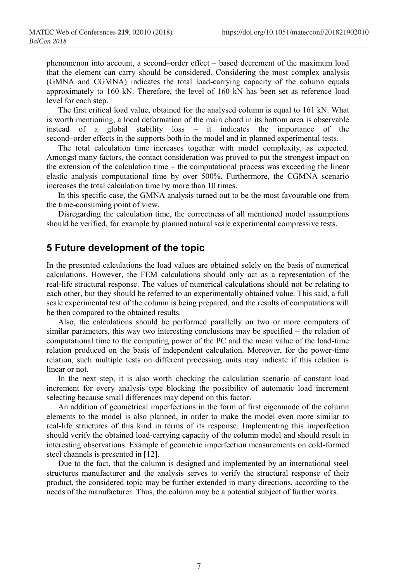phenomenon into account, a second–order effect – based decrement of the maximum load that the element can carry should be considered. Considering the most complex analysis (GMNA and CGMNA) indicates the total load-carrying capacity of the column equals approximately to 160 kN. Therefore, the level of 160 kN has been set as reference load level for each step.

The first critical load value, obtained for the analysed column is equal to 161 kN. What is worth mentioning, a local deformation of the main chord in its bottom area is observable instead of a global stability loss – it indicates the importance of the second–order effects in the supports both in the model and in planned experimental tests.

The total calculation time increases together with model complexity, as expected. Amongst many factors, the contact consideration was proved to put the strongest impact on the extension of the calculation time – the computational process was exceeding the linear elastic analysis computational time by over 500%. Furthermore, the CGMNA scenario increases the total calculation time by more than 10 times.

In this specific case, the GMNA analysis turned out to be the most favourable one from the time-consuming point of view.

Disregarding the calculation time, the correctness of all mentioned model assumptions should be verified, for example by planned natural scale experimental compressive tests.

## **5 Future development of the topic**

In the presented calculations the load values are obtained solely on the basis of numerical calculations. However, the FEM calculations should only act as a representation of the real-life structural response. The values of numerical calculations should not be relating to each other, but they should be referred to an experimentally obtained value. This said, a full scale experimental test of the column is being prepared, and the results of computations will be then compared to the obtained results.

Also, the calculations should be performed parallelly on two or more computers of similar parameters, this way two interesting conclusions may be specified – the relation of computational time to the computing power of the PC and the mean value of the load-time relation produced on the basis of independent calculation. Moreover, for the power-time relation, such multiple tests on different processing units may indicate if this relation is linear or not.

In the next step, it is also worth checking the calculation scenario of constant load increment for every analysis type blocking the possibility of automatic load increment selecting because small differences may depend on this factor.

An addition of geometrical imperfections in the form of first eigenmode of the column elements to the model is also planned, in order to make the model even more similar to real-life structures of this kind in terms of its response. Implementing this imperfection should verify the obtained load-carrying capacity of the column model and should result in interesting observations. Example of geometric imperfection measurements on cold-formed steel channels is presented in [12].

Due to the fact, that the column is designed and implemented by an international steel structures manufacturer and the analysis serves to verify the structural response of their product, the considered topic may be further extended in many directions, according to the needs of the manufacturer. Thus, the column may be a potential subject of further works.